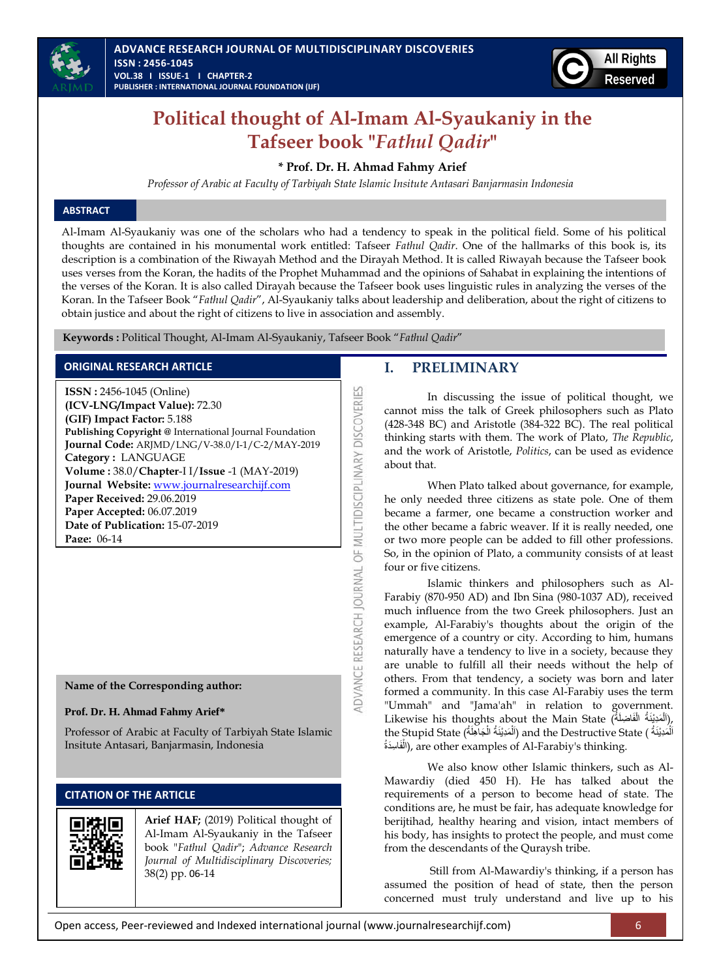



# **Political thought of Al-Imam Al-Syaukaniy in the Tafseer book "***Fathul Qadir***"**

# **\* Prof. Dr. H. Ahmad Fahmy Arief**

*Professor of Arabic at Faculty of Tarbiyah State Islamic Insitute Antasari Banjarmasin Indonesia*

# **ABSTRACT**

Al-Imam Al-Syaukaniy was one of the scholars who had a tendency to speak in the political field. Some of his political thoughts are contained in his monumental work entitled: Tafseer *Fathul Qadir*. One of the hallmarks of this book is, its description is a combination of the Riwayah Method and the Dirayah Method. It is called Riwayah because the Tafseer book uses verses from the Koran, the hadits of the Prophet Muhammad and the opinions of Sahabat in explaining the intentions of the verses of the Koran. It is also called Dirayah because the Tafseer book uses linguistic rules in analyzing the verses of the Koran. In the Tafseer Book "*Fathul Qadir*", Al-Syaukaniy talks about leadership and deliberation, about the right of citizens to obtain justice and about the right of citizens to live in association and assembly.

**DVANCE RESEARCH JOURNAL OF MULTIDISCIPLINARY DISCOVERIES** 

 **Keywords :** Political Thought, Al-Imam Al-Syaukaniy, Tafseer Book "*Fathul Qadir*"

# **ORIGINAL RESEARCH ARTICLE**

**ISSN :** 2456-1045 (Online) **(ICV-LNG/Impact Value):** 72.30 **(GIF) Impact Factor:** 5.188 **Publishing Copyright @** International Journal Foundation **Journal Code:** ARJMD/LNG/V-38.0/I-1/C-2/MAY-2019 **Category :** LANGUAGE **Volume :** 38.0/**Chapter**-I I/**Issue** -1 (MAY-2019) **Journal Website:** [www.journalresearchijf.com](http://www.journalresearchijf.com/) **Paper Received:** 29.06.2019 **Paper Accepted:** 06.07.2019 **Date of Publication:** 15-07-2019 **Page:** 06-14

**Name of the Corresponding author:**

# **Prof. Dr. H. Ahmad Fahmy Arief\***

Professor of Arabic at Faculty of Tarbiyah State Islamic Insitute Antasari, Banjarmasin, Indonesia

# **CITATION OF THE ARTICLE**

**Arief HAF;** (2019) Political thought of Al-Imam Al-Syaukaniy in the Tafseer book "*Fathul Qadir*"; *Advance Research Journal of Multidisciplinary Discoveries;* 38(2) pp. 06-14

# **I. PRELIMINARY**

In discussing the issue of political thought, we cannot miss the talk of Greek philosophers such as Plato (428-348 BC) and Aristotle (384-322 BC). The real political thinking starts with them. The work of Plato, *The Republic*, and the work of Aristotle, *Politics*, can be used as evidence about that.

When Plato talked about governance, for example, he only needed three citizens as state pole. One of them became a farmer, one became a construction worker and the other became a fabric weaver. If it is really needed, one or two more people can be added to fill other professions. So, in the opinion of Plato, a community consists of at least four or five citizens.

Islamic thinkers and philosophers such as Al-Farabiy (870-950 AD) and Ibn Sina (980-1037 AD), received much influence from the two Greek philosophers. Just an example, Al-Farabiy's thoughts about the origin of the emergence of a country or city. According to him, humans naturally have a tendency to live in a society, because they are unable to fulfill all their needs without the help of others. From that tendency, a society was born and later formed a community. In this case Al-Farabiy uses the term "Ummah" and "Jama'ah" in relation to government. Likewise his thoughts about the Main State (أَلْمَدِيْنَةُ الْفَاضِلَةُ), ْ ْ the Stupid State (أَلْمَدِيْنَةُ الْجَاهِلَةُ) and the Destructive State (أَلْمَدِيْنَةُ الْجَاهِلَةُ ֡֡<u>֚</u> ْ ْ َفا ِسَدةُ ال(, are other examples of Al-Farabiy's thinking. ْ

We also know other Islamic thinkers, such as Al-Mawardiy (died 450 H). He has talked about the requirements of a person to become head of state. The conditions are, he must be fair, has adequate knowledge for berijtihad, healthy hearing and vision, intact members of his body, has insights to protect the people, and must come from the descendants of the Quraysh tribe.

Still from Al-Mawardiy's thinking, if a person has assumed the position of head of state, then the person concerned must truly understand and live up to his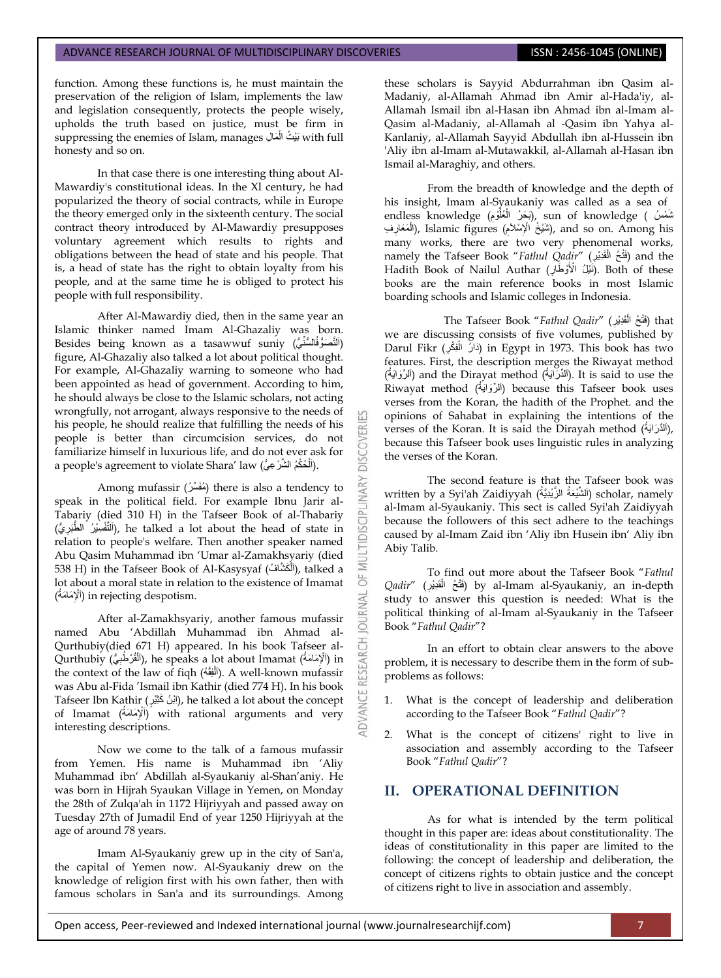function. Among these functions is, he must maintain the preservation of the religion of Islam, implements the law and legislation consequently, protects the people wisely, upholds the truth based on justice, must be firm in suppressing the enemies of Islam, manages بَيْتُ الْمَالِ  $\,$ ith full ْ honesty and so on.

In that case there is one interesting thing about Al-Mawardiy's constitutional ideas. In the XI century, he had popularized the theory of social contracts, while in Europe the theory emerged only in the sixteenth century. The social contract theory introduced by Al-Mawardiy presupposes voluntary agreement which results to rights and obligations between the head of state and his people. That is, a head of state has the right to obtain loyalty from his people, and at the same time he is obliged to protect his people with full responsibility.

After Al-Mawardiy died, then in the same year an Islamic thinker named Imam Al-Ghazaliy was born. Besides being known as a tasawwuf suniy (اَلتَّصَوُّفُالسُّنِّيُّ) figure, Al-Ghazaliy also talked a lot about political thought. For example, Al-Ghazaliy warning to someone who had been appointed as head of government. According to him, he should always be close to the Islamic scholars, not acting wrongfully, not arrogant, always responsive to the needs of his people, he should realize that fulfilling the needs of his people is better than circumcision services, do not familiarize himself in luxurious life, and do not ever ask for a people's agreement to violate Shara' law (اَلْحُكْمُ الشَّرْعِيُّ). **ٔ** 

**DISCOVERI** 

INARY

**DISCIPL** 

ö

5

RESEARCH

Among mufassir (مُغَسِّرُ) there is also a tendency to speak in the political field. For example Ibnu Jarir al-Tabariy (died 310 H) in the Tafseer Book of al-Thabariy ُّي) َّطَبر ِسٌْ ُر ال فْ َّلتَا(, he talked a lot about the head of state in ِ relation to people's welfare. Then another speaker named Abu Qasim Muhammad ibn "Umar al-Zamakhsyariy (died 538 H) in the Tafseer Book of Al-Kasysyaf (أَلْمَحْشَافُ), talked a ْ lot about a moral state in relation to the existence of Imamat ( اَْلِ ُمةَ ماَ ( in rejecting despotism.

After al-Zamakhsyariy, another famous mufassir named Abu "Abdillah Muhammad ibn Ahmad al-Qurthubiy(died 671 H) appeared. In his book Tafseer al-Qurthubiy (ٱلْمَوْسَٰفِيُّ), he speaks a lot about Imamat (ٱلْمَوْسَٰفِيُّ) in ِ ْ the context of the law of fiqh (الْلَغِفْهُ). A well-known mufassir ْ was Abu al-Fida "Ismail ibn Kathir (died 774 H). In his book Tafseer Ibn Kathir (إِيْنُ كَثِيْرٍ), he talked a lot about the concept of Imamat (أَلْإِمَامَةُ) with rational arguments and very interesting descriptions.

Now we come to the talk of a famous mufassir from Yemen. His name is Muhammad ibn "Aliy Muhammad ibn" Abdillah al-Syaukaniy al-Shan"aniy. He was born in Hijrah Syaukan Village in Yemen, on Monday the 28th of Zulqa'ah in 1172 Hijriyyah and passed away on Tuesday 27th of Jumadil End of year 1250 Hijriyyah at the age of around 78 years.

Imam Al-Syaukaniy grew up in the city of San'a, the capital of Yemen now. Al-Syaukaniy drew on the knowledge of religion first with his own father, then with famous scholars in San'a and its surroundings. Among these scholars is Sayyid Abdurrahman ibn Qasim al-Madaniy, al-Allamah Ahmad ibn Amir al-Hada'iy, al-Allamah Ismail ibn al-Hasan ibn Ahmad ibn al-Imam al-Qasim al-Madaniy, al-Allamah al -Qasim ibn Yahya al-Kanlaniy, al-Allamah Sayyid Abdullah ibn al-Hussein ibn 'Aliy ibn al-Imam al-Mutawakkil, al-Allamah al-Hasan ibn Ismail al-Maraghiy, and others.

From the breadth of knowledge and the depth of his insight, Imam al-Syaukaniy was called as a sea of endless knowledge (بَحَرُ الْعُلُوْمِ), sun of knowledge ( نَمْسُ ِ ُ ْ لِفَيْخُ الْإِسْلاَمِ), Islamic figures (شَيْخُ الْإِسْلاَمِ), and so on. Among his ِ ؚ<br>֡֡<u>֡</u> ِ many works, there are two very phenomenal works, namely the Tafseer Book "Fathul Qadir" (فَتْحُ الْغَدِيْرِ) and the ْ Hadith Book of Nailul Authar (أَنْبَكُ الْأَوْطَّارِ). Both of these books are the main reference books in most Islamic boarding schools and Islamic colleges in Indonesia.

 The Tafseer Book "*Fathul Qadir*" (ِ َقِدٌْر ُح ال that) َفتْ ْ we are discussing consists of five volumes, published by Darul Fikr (دَارٌ الْمِغْرِ) in Egypt in 1973. This book has two ْ features. First, the description merges the Riwayat method (اَلَّذُرَّانِهُ) and the Dirayat method (أَلأَرْوَانِةُ). It is said to use the Riwayat method (أَلرِّوَايَةُ) because this Tafseer book uses verses from the Koran, the hadith of the Prophet. and the opinions of Sahabat in explaining the intentions of the verses of the Koran. It is said the Dirayah method (اَلْذَرَابَةُ), because this Tafseer book uses linguistic rules in analyzing the verses of the Koran.

The second feature is that the Tafseer book was written by a Syi'ah Zaidiyyah (ٱلشَّيْعَةُ الزَّيْدِيَّةُ) scholar, namely al-Imam al-Syaukaniy. This sect is called Syi'ah Zaidiyyah because the followers of this sect adhere to the teachings caused by al-Imam Zaid ibn "Aliy ibn Husein ibn" Aliy ibn Abiy Talib.

To find out more about the Tafseer Book "*Fathul*  Qadir" (فَتْحُ الْقَدِّيْرِ) by al-Imam al-Syaukaniy, an in-depth ֦֧֦֧֦֧<u>֓</u> study to answer this question is needed: What is the political thinking of al-Imam al-Syaukaniy in the Tafseer Book "*Fathul Qadir*"?

In an effort to obtain clear answers to the above problem, it is necessary to describe them in the form of subproblems as follows:

- 1. What is the concept of leadership and deliberation according to the Tafseer Book "*Fathul Qadir*"?
- 2. What is the concept of citizens' right to live in association and assembly according to the Tafseer Book "*Fathul Qadir*"?

# **II. OPERATIONAL DEFINITION**

As for what is intended by the term political thought in this paper are: ideas about constitutionality. The ideas of constitutionality in this paper are limited to the following: the concept of leadership and deliberation, the concept of citizens rights to obtain justice and the concept of citizens right to live in association and assembly.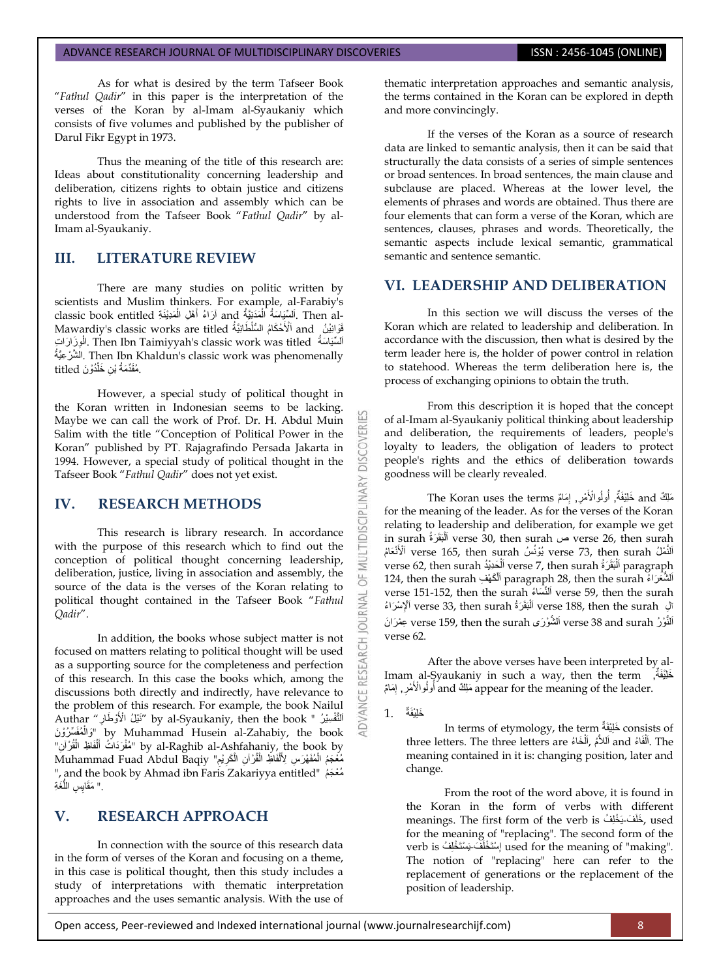As for what is desired by the term Tafseer Book "*Fathul Qadir*" in this paper is the interpretation of the verses of the Koran by al-Imam al-Syaukaniy which consists of five volumes and published by the publisher of Darul Fikr Egypt in 1973.

Thus the meaning of the title of this research are: Ideas about constitutionality concerning leadership and deliberation, citizens rights to obtain justice and citizens rights to live in association and assembly which can be understood from the Tafseer Book "*Fathul Qadir*" by al-Imam al-Syaukaniy.

# **III. LITERATURE REVIEW**

There are many studies on politic written by scientists and Muslim thinkers. For example, al-Farabiy's classic book entitled أَرَاءُ أَهْلِ الْمَدِيْنَةِ and آرَاءُ أَهْلِ الْمَدِيْنَةِ ْ َ ْ classic book entitled أَرَاءُ أَهْلِ الْمَدِيَّنَةُ classic book entitled<br>فَوَانيْنُ and اَلْأَحْكَامُ السُّلْطَانِيَّةُ Mawardiy's classic works are titled الْمِيَاسَةُ Then Ibn Taimiyyah's classic work was titled الْوِزَارَاتِ ِ ُةٌَّعِ رْ شَّ ال. Then Ibn Khaldun's classic work was phenomenally مُقَدِّمَةُ بْنِ خَلْدُوْنَ titled ْ

However, a special study of political thought in the Koran written in Indonesian seems to be lacking. Maybe we can call the work of Prof. Dr. H. Abdul Muin Salim with the title "Conception of Political Power in the Koran" published by PT. Rajagrafindo Persada Jakarta in 1994. However, a special study of political thought in the Tafseer Book "*Fathul Qadir*" does not yet exist.

# **IV. RESEARCH METHODS**

This research is library research. In accordance with the purpose of this research which to find out the conception of political thought concerning leadership, deliberation, justice, living in association and assembly, the source of the data is the verses of the Koran relating to political thought contained in the Tafseer Book "*Fathul Qadir*".

In addition, the books whose subject matter is not focused on matters relating to political thought will be used as a supporting source for the completeness and perfection of this research. In this case the books which, among the discussions both directly and indirectly, have relevance to the problem of this research. For example, the book Nailul Authar "نَيْلُ الْأَوْطَارِ " by al-Syaukaniy, then the book " لَا الْمُفَسِّرُوْنَ" by Muhammad Husein al-Zahabiy, the book ْ لَّهْ الْمُفْرَدَاتُ أَلْفَاظِ الْمُؤْرَّانِ" by al-Raghib al-Ashfahaniy, the book by ْ ْ َ Muhammad Fuad Abdul Baqiy "أَهَّرْ أَنِّ الْكَرِيْمِ" Muhammad Fuad Abdul Baqiy :<br>ا ِ ِ ْ ْ ْ ", and the book by Ahmad ibn Faris Zakariyya entitled, مُعْجَمُ ِ" مَقَايِسِ اللَّغَةِ ُّ

# **V. RESEARCH APPROACH**

In connection with the source of this research data in the form of verses of the Koran and focusing on a theme, in this case is political thought, then this study includes a study of interpretations with thematic interpretation approaches and the uses semantic analysis. With the use of thematic interpretation approaches and semantic analysis, the terms contained in the Koran can be explored in depth and more convincingly.

If the verses of the Koran as a source of research data are linked to semantic analysis, then it can be said that structurally the data consists of a series of simple sentences or broad sentences. In broad sentences, the main clause and subclause are placed. Whereas at the lower level, the elements of phrases and words are obtained. Thus there are four elements that can form a verse of the Koran, which are sentences, clauses, phrases and words. Theoretically, the semantic aspects include lexical semantic, grammatical semantic and sentence semantic.

# **VI. LEADERSHIP AND DELIBERATION**

In this section we will discuss the verses of the Koran which are related to leadership and deliberation. In accordance with the discussion, then what is desired by the term leader here is, the holder of power control in relation to statehood. Whereas the term deliberation here is, the process of exchanging opinions to obtain the truth.

From this description it is hoped that the concept of al-Imam al-Syaukaniy political thinking about leadership and deliberation, the requirements of leaders, people's loyalty to leaders, the obligation of leaders to protect people's rights and the ethics of deliberation towards goodness will be clearly revealed.

تَلِكٌ and خَلِيْفَةٌ, أُولُوالْأَمْرِ, إِمَامٌ The Koran uses the terms **ृ** ِ ُ for the meaning of the leader. As for the verses of the Koran relating to leadership and deliberation, for example we get in surah رةَ بَقَ ل َا verse 30, then surah ص verse 26, then surah ا<br>ا َالنَّمْلُ verse 73, then surah يُوْنُسُ verse 73, then surah اَلْأَنْعَامُ verse  $7$ , then surah أَلْبَقَرَةُ verse  $7$ , then surah أَلْحَدِيْدُ paragraph ֡֡<u>֚</u> ْ لشَّعَرَاءُ paragraph 28, then the surah اَلْكَهْفِ 124, then the surah ْ اَ verse 151-152, then the surah اَلنَّسَاءُ verse 59, then the surah َالِ verse 33, then surah اَلْبَقَرَةُ verse 188, then the surah اَلْإِسْرَاءُ ْ نَّوْرُ verse 38 and surah اَلشَّوْرَى verse 159, then the surah عِنْرَانَ اَ verse 62.

After the above verses have been interpreted by al-Imam al-Syaukaniy in such a way, then the term , َخلٌَِْفةٌ appear for the meaning of the leader. مَلِكٌ and أُولُوالْأَمْرِ , إِمَامٌ ِ ِ ُ

خَلِيْفَةٌ 1.

**DISCOVER** 

**IDISCIPLINARY** 

 $\overline{6}$ RNAL

RESEARCH

ADVANCE

In terms of etymology, the term تَيفْ خلَ consists of three letters. The three letters are اَللَّهُ ,اَلْخَاءُ and أَللاَّهُ ْ ْ meaning contained in it is: changing position, later and change.

From the root of the word above, it is found in the Koran in the form of verbs with different meanings. The first form of the verb is مِخَلْفَ يَخْلِفُ, used for the meaning of "replacing". The second form of the verb is إِسْتَخْلَفَ بَسْتَخْلِفُ) used for the meaning of "making". The notion of "replacing" here can refer to the replacement of generations or the replacement of the position of leadership.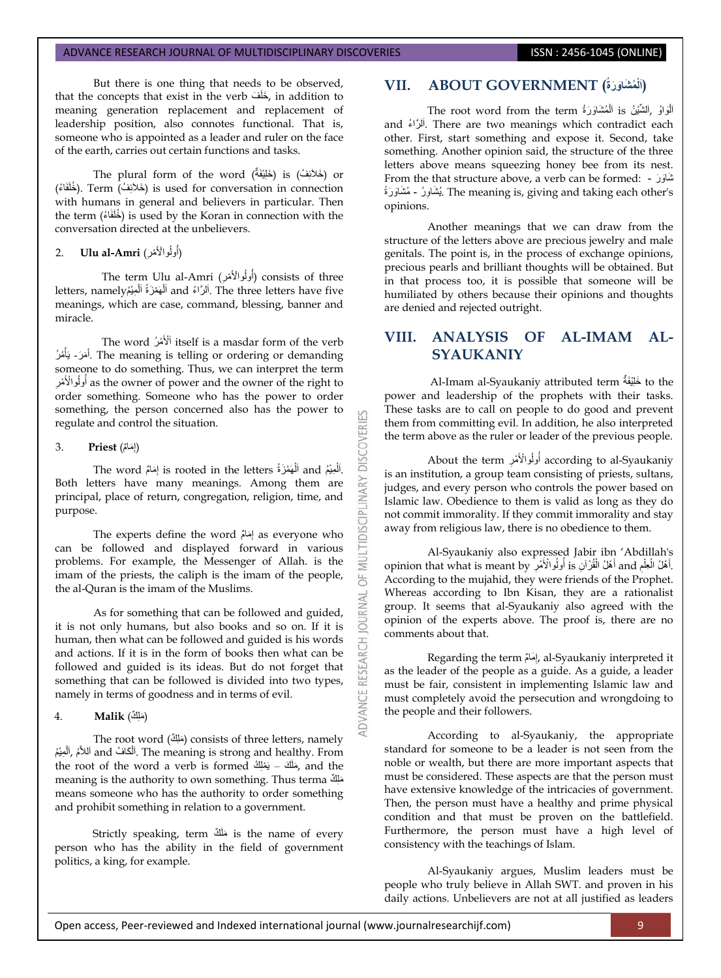But there is one thing that needs to be observed, that the concepts that exist in the verb , خَلَفَ , in addition to meaning generation replacement and replacement of leadership position, also connotes functional. That is, someone who is appointed as a leader and ruler on the face of the earth, carries out certain functions and tasks.

The plural form of the word (خَلَائِفَةٌ) is (خَلَائِفَةٌ) or ف) Term . )خلَفَا ء) ئَخالَ ( is used for conversation in connection with humans in general and believers in particular. Then the term (خُلَفَاءُ) is used by the Koran in connection with the conversation directed at the unbelievers.

#### 2. **Ulu al-Amri** (أولُوالْأَمْرِ) j

The term Ulu al-Amri (أُولُوالْأَهْرِ) consists of three letters, namely أَلْهَمْزَةُ ٱلْمِيْمُ and أَلْمَهْزَةُ الْمَعِيْمِ letters, namely ْ ْ meanings, which are case, command, blessing, banner and miracle.

The word اَلْأَهْرُ itself is a masdar form of the verb أَهَرَ - بَأْهُرُ. The meaning is telling or ordering or demanding someone to do something. Thus, we can interpret the term as the owner of power and the owner of the right to أولُوالْأَمْرِ ĺ order something. Someone who has the power to order something, the person concerned also has the power to regulate and control the situation.

### َها م) **Priest** 3. (إ

The word إِمَامٌ is rooted in the letters أَلْهَمْزَةُ The word **ٔ** ْ Both letters have many meanings. Among them are principal, place of return, congregation, religion, time, and purpose.

**DISCOVERI** 

INARY

**IDISCII** 

**OURNAL** 

The experts define the word إِمَامٌ as everyone who can be followed and displayed forward in various problems. For example, the Messenger of Allah. is the imam of the priests, the caliph is the imam of the people, the al-Quran is the imam of the Muslims.

As for something that can be followed and guided, it is not only humans, but also books and so on. If it is human, then what can be followed and guided is his words and actions. If it is in the form of books then what can be followed and guided is its ideas. But do not forget that something that can be followed is divided into two types, namely in terms of goodness and in terms of evil.

# َهل ك) **Malik** 4. )

The root word (مَلِكٌ) consists of three letters, namely اَلْكَافُ and اَلْكَافُ and اَلْكَافُ and أَلَيْهِمُ ,آلْمِيْمُ ْ ْ the root of the word a verb is formed مَلْكَ – يَمْلِكُ, and the meaning is the authority to own something. Thus terma مَلِكٌ means someone who has the authority to order something and prohibit something in relation to a government.

Strictly speaking, term ك َهلَ is the name of every person who has the ability in the field of government politics, a king, for example.

# **ُم َشاَو َرةُ) GOVERNMENT ABOUT .VII (اَلْ**

َالْوَاوُ ,اَلشَّنْيْنُ is اَلْمُشَاوَرَةُ The root word from the term .<br>ا ْ and أَلَرَّاءُ There are two meanings which contradict each other. First, start something and expose it. Second, take something. Another opinion said, the structure of the three letters above means squeezing honey bee from its nest. From the that structure above, a verb can be formed: - رَ وَشاَ يُشَاوِرُ - مُشَاوَرَةً . The meaning is, giving and taking each other's ِ opinions.

Another meanings that we can draw from the structure of the letters above are precious jewelry and male genitals. The point is, in the process of exchange opinions, precious pearls and brilliant thoughts will be obtained. But in that process too, it is possible that someone will be humiliated by others because their opinions and thoughts are denied and rejected outright.

# **VIII. ANALYSIS OF AL-IMAM AL-SYAUKANIY**

Al-Imam al-Syaukaniy attributed term ٌفةٌَِْخلَ to the power and leadership of the prophets with their tasks. These tasks are to call on people to do good and prevent them from committing evil. In addition, he also interpreted the term above as the ruler or leader of the previous people.

About the term أَولُوالْأَمْرِ according to al-Syaukaniy ِ ِّ ٍ is an institution, a group team consisting of priests, sultans, judges, and every person who controls the power based on Islamic law. Obedience to them is valid as long as they do not commit immorality. If they commit immorality and stay away from religious law, there is no obedience to them.

Al-Syaukaniy also expressed Jabir ibn "Abdillah's opinion that what is meant by أَهْلُ الْقُرْآنِ si أُولُوالْأَمْرِ بِهِمْ opinion that what is meant by ِّ م ֦֧֖֧֝֓֝֓֓<u>֓</u> ِ .<br>ا ؚ<br>ׇׇ֦֦֧֡֬֝֟֟֓֬֟֓֟֓֟֓֬֟֓֡֘<u>֛</u> According to the mujahid, they were friends of the Prophet. Whereas according to Ibn Kisan, they are a rationalist group. It seems that al-Syaukaniy also agreed with the opinion of the experts above. The proof is, there are no comments about that.

Regarding the term إِمَامٌ, al-Syaukaniy interpreted it ِ as the leader of the people as a guide. As a guide, a leader must be fair, consistent in implementing Islamic law and must completely avoid the persecution and wrongdoing to the people and their followers.

According to al-Syaukaniy, the appropriate standard for someone to be a leader is not seen from the noble or wealth, but there are more important aspects that must be considered. These aspects are that the person must have extensive knowledge of the intricacies of government. Then, the person must have a healthy and prime physical condition and that must be proven on the battlefield. Furthermore, the person must have a high level of consistency with the teachings of Islam.

Al-Syaukaniy argues, Muslim leaders must be people who truly believe in Allah SWT. and proven in his daily actions. Unbelievers are not at all justified as leaders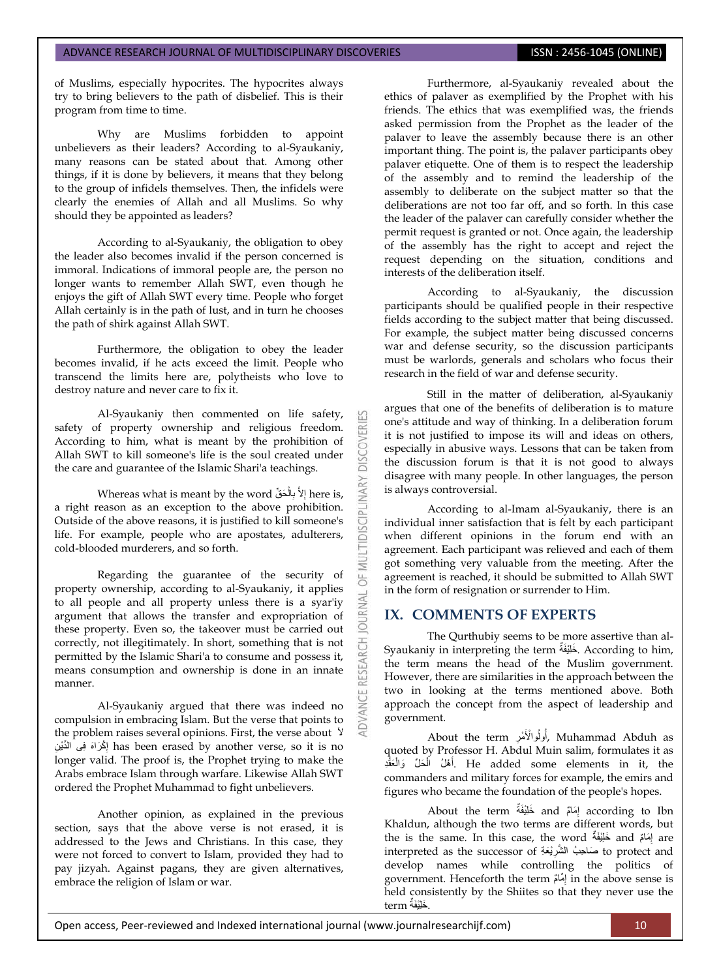of Muslims, especially hypocrites. The hypocrites always try to bring believers to the path of disbelief. This is their program from time to time.

Why are Muslims forbidden to appoint unbelievers as their leaders? According to al-Syaukaniy, many reasons can be stated about that. Among other things, if it is done by believers, it means that they belong to the group of infidels themselves. Then, the infidels were clearly the enemies of Allah and all Muslims. So why should they be appointed as leaders?

According to al-Syaukaniy, the obligation to obey the leader also becomes invalid if the person concerned is immoral. Indications of immoral people are, the person no longer wants to remember Allah SWT, even though he enjoys the gift of Allah SWT every time. People who forget Allah certainly is in the path of lust, and in turn he chooses the path of shirk against Allah SWT.

Furthermore, the obligation to obey the leader becomes invalid, if he acts exceed the limit. People who transcend the limits here are, polytheists who love to destroy nature and never care to fix it.

Al-Syaukaniy then commented on life safety, safety of property ownership and religious freedom. According to him, what is meant by the prohibition of Allah SWT to kill someone's life is the soul created under the care and guarantee of the Islamic Shari'a teachings.

53

**DISCOVERI** 

**DISCIPLINARY** 

**JRNAL** DOI

RESEARCH

Whereas what is meant by the word إِلاَّ بِالْحَقِّ  $\,$  here is, **ٔ**  $\overline{\phantom{a}}$ a right reason as an exception to the above prohibition. Outside of the above reasons, it is justified to kill someone's life. For example, people who are apostates, adulterers, cold-blooded murderers, and so forth.

Regarding the guarantee of the security of property ownership, according to al-Syaukaniy, it applies to all people and all property unless there is a syar'iy argument that allows the transfer and expropriation of these property. Even so, the takeover must be carried out correctly, not illegitimately. In short, something that is not permitted by the Islamic Shari'a to consume and possess it, means consumption and ownership is done in an innate manner.

Al-Syaukaniy argued that there was indeed no compulsion in embracing Islam. But the verse that points to the problem raises several opinions. First, the verse about <sup>'</sup> ِن ْكَراَه ِفى الِّدٌْ إ has been erased by another verse, so it is no ِ longer valid. The proof is, the Prophet trying to make the Arabs embrace Islam through warfare. Likewise Allah SWT ordered the Prophet Muhammad to fight unbelievers.

Another opinion, as explained in the previous section, says that the above verse is not erased, it is addressed to the Jews and Christians. In this case, they were not forced to convert to Islam, provided they had to pay jizyah. Against pagans, they are given alternatives, embrace the religion of Islam or war.

Furthermore, al-Syaukaniy revealed about the ethics of palaver as exemplified by the Prophet with his friends. The ethics that was exemplified was, the friends asked permission from the Prophet as the leader of the palaver to leave the assembly because there is an other important thing. The point is, the palaver participants obey palaver etiquette. One of them is to respect the leadership of the assembly and to remind the leadership of the assembly to deliberate on the subject matter so that the deliberations are not too far off, and so forth. In this case the leader of the palaver can carefully consider whether the permit request is granted or not. Once again, the leadership of the assembly has the right to accept and reject the request depending on the situation, conditions and interests of the deliberation itself.

According to al-Syaukaniy, the discussion participants should be qualified people in their respective fields according to the subject matter that being discussed. For example, the subject matter being discussed concerns war and defense security, so the discussion participants must be warlords, generals and scholars who focus their research in the field of war and defense security.

Still in the matter of deliberation, al-Syaukaniy argues that one of the benefits of deliberation is to mature one's attitude and way of thinking. In a deliberation forum it is not justified to impose its will and ideas on others, especially in abusive ways. Lessons that can be taken from the discussion forum is that it is not good to always disagree with many people. In other languages, the person is always controversial.

According to al-Imam al-Syaukaniy, there is an individual inner satisfaction that is felt by each participant when different opinions in the forum end with an agreement. Each participant was relieved and each of them got something very valuable from the meeting. After the agreement is reached, it should be submitted to Allah SWT in the form of resignation or surrender to Him.

# **IX. COMMENTS OF EXPERTS**

The Qurthubiy seems to be more assertive than al-Syaukaniy in interpreting the term ٌفةٌَِْخلَ . According to him, the term means the head of the Muslim government. However, there are similarities in the approach between the two in looking at the terms mentioned above. Both approach the concept from the aspect of leadership and government.

About the term أُولُوالْأَمْرِ, Muhammad Abduh as ِ ُ quoted by Professor H. Abdul Muin salim, formulates it as َأَهْلُ الْحَلِّ وَالْعَقْدِ He added some elements in it, the **ٔ** ْ commanders and military forces for example, the emirs and figures who became the foundation of the people's hopes.

About the term ﴿إِمَامٌ and خَلْيْفَةٌ and About the term ِ Khaldun, although the two terms are different words, but the is the same. In this case, the word خَلِيْفَةٌ and إِمَامٌ are ِ interpreted as the successor of حَناحِبُ الشَّرِيْعَةِ to protect and ِ develop names while controlling the politics of government. Henceforth the term مٌماٌ إ in the above sense is ِ held consistently by the Shiites so that they never use the . َخلٌَِْفةٌ term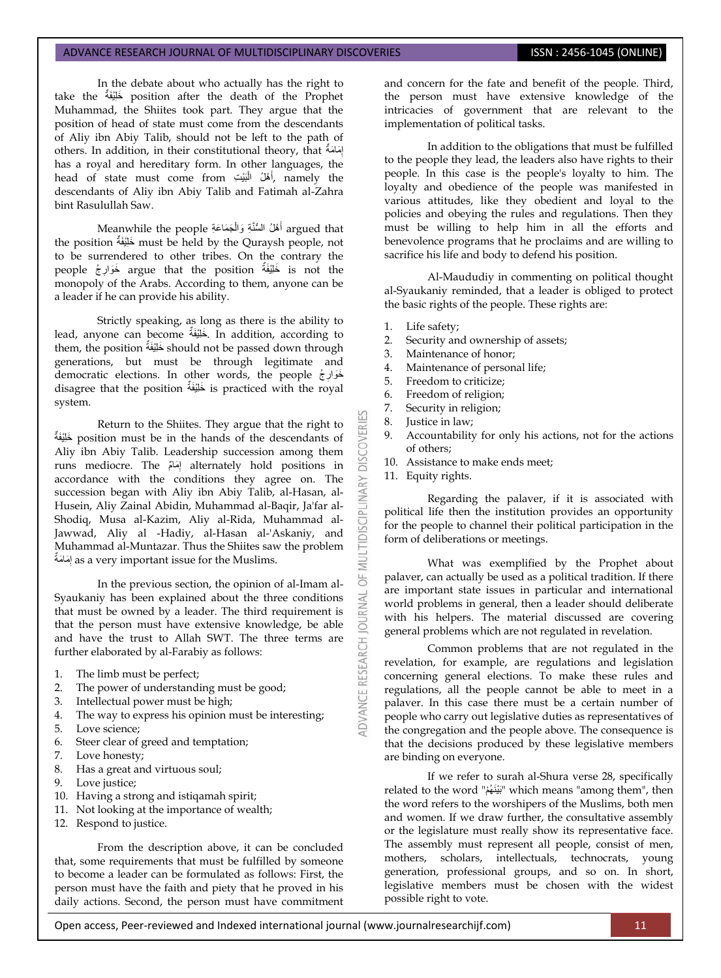In the debate about who actually has the right to take the ٌفةٌَِْخلَ position after the death of the Prophet Muhammad, the Shiites took part. They argue that the position of head of state must come from the descendants of Aliy ibn Abiy Talib, should not be left to the path of others. In addition, in their constitutional theory, that بِمَعَاحَةَ أَ ِ has a royal and hereditary form. In other languages, the head of state must come from أَهْلُ الْبَيْتِ, namely the ْ اً<br>ا descendants of Aliy ibn Abiy Talib and Fatimah al-Zahra bint Rasulullah Saw.

Argued that أَهْلُ السُّنَّةِ وَالْمَحَاعَةِ Deanwhile the people ْ َ the position ٌفةٌَِْخلَ must be held by the Quraysh people, not to be surrendered to other tribes. On the contrary the people خَوَارِجُ argue that the position خَوَارِجُ is not the ِ monopoly of the Arabs. According to them, anyone can be a leader if he can provide his ability.

Strictly speaking, as long as there is the ability to lead, anyone can become خَلِيْغَةٌ. In addition, according to them, the position خَلِيْغَةٌ should not be passed down through generations, but must be through legitimate and democratic elections. In other words, the people جُ َخَوار ِ disagree that the position ٌفةٌَِْخلَ is practiced with the royal system.

Return to the Shiites. They argue that the right to ٌفةٌَِْخلَ position must be in the hands of the descendants of Aliy ibn Abiy Talib. Leadership succession among them runs mediocre. The مٌماَ إ alternately hold positions in ِ accordance with the conditions they agree on. The succession began with Aliy ibn Abiy Talib, al-Hasan, al-Husein, Aliy Zainal Abidin, Muhammad al-Baqir, Ja'far al-Shodiq, Musa al-Kazim, Aliy al-Rida, Muhammad al-Jawwad, Aliy al -Hadiy, al-Hasan al-'Askaniy, and Muhammad al-Muntazar. Thus the Shiites saw the problem َما َمةٌ إ as a very important issue for the Muslims. ِ

In the previous section, the opinion of al-Imam al-Syaukaniy has been explained about the three conditions that must be owned by a leader. The third requirement is that the person must have extensive knowledge, be able and have the trust to Allah SWT. The three terms are further elaborated by al-Farabiy as follows:

- 1. The limb must be perfect;
- 2. The power of understanding must be good;
- 3. Intellectual power must be high;
- 4. The way to express his opinion must be interesting;
- 5. Love science;
- 6. Steer clear of greed and temptation;<br>7. Love honesty;
- Love honesty;
- 8. Has a great and virtuous soul;
- 9. Love justice;
- 10. Having a strong and istiqamah spirit;
- 11. Not looking at the importance of wealth;
- 12. Respond to justice.

From the description above, it can be concluded that, some requirements that must be fulfilled by someone to become a leader can be formulated as follows: First, the person must have the faith and piety that he proved in his daily actions. Second, the person must have commitment and concern for the fate and benefit of the people. Third, the person must have extensive knowledge of the intricacies of government that are relevant to the implementation of political tasks.

In addition to the obligations that must be fulfilled to the people they lead, the leaders also have rights to their people. In this case is the people's loyalty to him. The loyalty and obedience of the people was manifested in various attitudes, like they obedient and loyal to the policies and obeying the rules and regulations. Then they must be willing to help him in all the efforts and benevolence programs that he proclaims and are willing to sacrifice his life and body to defend his position.

Al-Maududiy in commenting on political thought al-Syaukaniy reminded, that a leader is obliged to protect the basic rights of the people. These rights are:

- 1. Life safety;
- 2. Security and ownership of assets;
- 3. Maintenance of honor;
- 4. Maintenance of personal life;
- 5. Freedom to criticize;
- 6. Freedom of religion;
- 7. Security in religion;
- 8. Justice in law;
- 9. Accountability for only his actions, not for the actions of others;
- 10. Assistance to make ends meet;
- 11. Equity rights.

**DISCOVERI** 

**LTIDISCIPLINARY** 

DVANCE RESEARCH JOURNAL

Regarding the palaver, if it is associated with political life then the institution provides an opportunity for the people to channel their political participation in the form of deliberations or meetings.

What was exemplified by the Prophet about palaver, can actually be used as a political tradition. If there are important state issues in particular and international world problems in general, then a leader should deliberate with his helpers. The material discussed are covering general problems which are not regulated in revelation.

Common problems that are not regulated in the revelation, for example, are regulations and legislation concerning general elections. To make these rules and regulations, all the people cannot be able to meet in a palaver. In this case there must be a certain number of people who carry out legislative duties as representatives of the congregation and the people above. The consequence is that the decisions produced by these legislative members are binding on everyone.

If we refer to surah al-Shura verse 28, specifically related to the word "مْهُ نٌَْبَ "which means "among them", then the word refers to the worshipers of the Muslims, both men and women. If we draw further, the consultative assembly or the legislature must really show its representative face. The assembly must represent all people, consist of men, mothers, scholars, intellectuals, technocrats, young generation, professional groups, and so on. In short, legislative members must be chosen with the widest possible right to vote.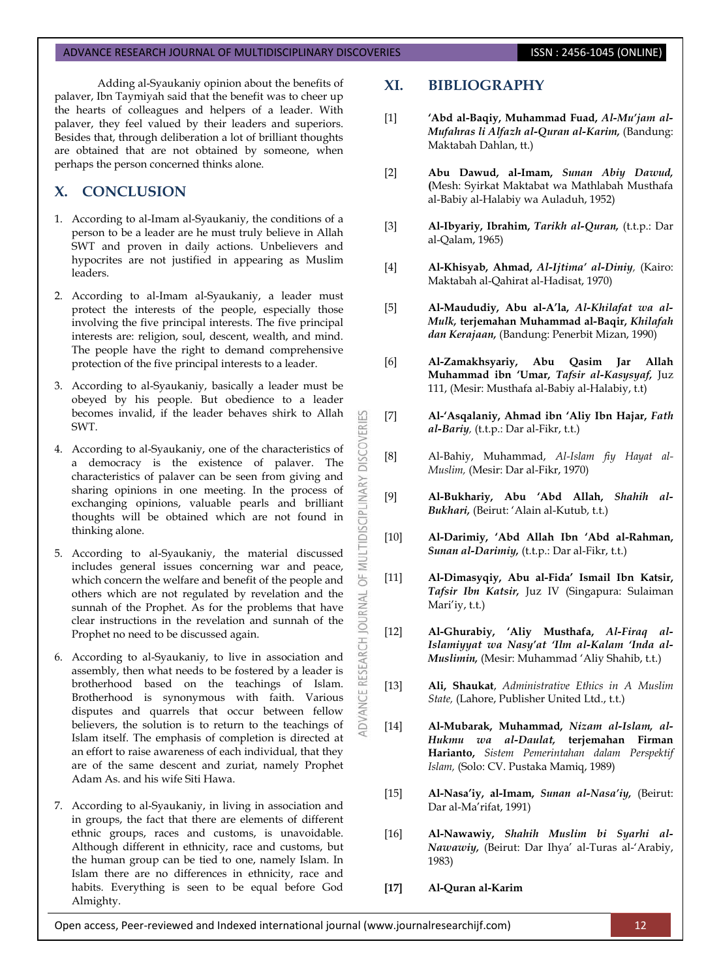Adding al-Syaukaniy opinion about the benefits of palaver, Ibn Taymiyah said that the benefit was to cheer up the hearts of colleagues and helpers of a leader. With palaver, they feel valued by their leaders and superiors. Besides that, through deliberation a lot of brilliant thoughts are obtained that are not obtained by someone, when perhaps the person concerned thinks alone.

# **X. CONCLUSION**

- 1. According to al-Imam al-Syaukaniy, the conditions of a person to be a leader are he must truly believe in Allah SWT and proven in daily actions. Unbelievers and hypocrites are not justified in appearing as Muslim leaders.
- 2. According to al-Imam al-Syaukaniy, a leader must protect the interests of the people, especially those involving the five principal interests. The five principal interests are: religion, soul, descent, wealth, and mind. The people have the right to demand comprehensive protection of the five principal interests to a leader.
- 3. According to al-Syaukaniy, basically a leader must be obeyed by his people. But obedience to a leader becomes invalid, if the leader behaves shirk to Allah SWT.

53

**DISCOVERI** 

**MULTIDISCIPLINARY** 

 $\overline{6}$ 

**OURNAL** 

RESEARCH

**IDVANCE** 

- 4. According to al-Syaukaniy, one of the characteristics of a democracy is the existence of palaver. The characteristics of palaver can be seen from giving and sharing opinions in one meeting. In the process of exchanging opinions, valuable pearls and brilliant thoughts will be obtained which are not found in thinking alone.
- 5. According to al-Syaukaniy, the material discussed includes general issues concerning war and peace, which concern the welfare and benefit of the people and others which are not regulated by revelation and the sunnah of the Prophet. As for the problems that have clear instructions in the revelation and sunnah of the Prophet no need to be discussed again.
- 6. According to al-Syaukaniy, to live in association and assembly, then what needs to be fostered by a leader is brotherhood based on the teachings of Islam. Brotherhood is synonymous with faith. Various disputes and quarrels that occur between fellow believers, the solution is to return to the teachings of Islam itself. The emphasis of completion is directed at an effort to raise awareness of each individual, that they are of the same descent and zuriat, namely Prophet Adam As. and his wife Siti Hawa.
- 7. According to al-Syaukaniy, in living in association and in groups, the fact that there are elements of different ethnic groups, races and customs, is unavoidable. Although different in ethnicity, race and customs, but the human group can be tied to one, namely Islam. In Islam there are no differences in ethnicity, race and habits. Everything is seen to be equal before God Almighty.

# **XI. BIBLIOGRAPHY**

- [1] **'Abd al-Baqiy, Muhammad Fuad,** *Al-Mu'jam al-Mufahras li Alfazh al-Quran al-Karim,* (Bandung: Maktabah Dahlan, tt.)
- [2] **Abu Dawud, al-Imam,** *Sunan Abiy Dawud,*  **(**Mesh: Syirkat Maktabat wa Mathlabah Musthafa al-Babiy al-Halabiy wa Auladuh, 1952)
- [3] **Al-Ibyariy, Ibrahim,** *Tarikh al-Quran,* (t.t.p.: Dar al-Qalam, 1965)
- [4] **Al-Khisyab, Ahmad,** *Al-Ijtima' al-Diniy,* (Kairo: Maktabah al-Qahirat al-Hadisat, 1970)
- [5] **Al-Maududiy, Abu al-A'la,** *Al-Khilafat wa al-Mulk,* **terjemahan Muhammad al-Baqir,** *Khilafah dan Kerajaan,* (Bandung: Penerbit Mizan, 1990)
- [6] **Al-Zamakhsyariy, Abu Qasim Jar Allah Muhammad ibn 'Umar,** *Tafsir al-Kasysyaf,* Juz 111, (Mesir: Musthafa al-Babiy al-Halabiy, t.t)
- [7] **Al-'Asqalaniy, Ahmad ibn 'Aliy Ibn Hajar,** *Fath al-Bariy,* (t.t.p.: Dar al-Fikr, t.t.)
- [8] Al-Bahiy, Muhammad, *Al-Islam fiy Hayat al-Muslim,* (Mesir: Dar al-Fikr, 1970)
- [9] **Al-Bukhariy, Abu 'Abd Allah,** *Shahih al-Bukhari,* (Beirut: "Alain al-Kutub, t.t.)
- [10] **Al-Darimiy, 'Abd Allah Ibn 'Abd al-Rahman,**  *Sunan al-Darimiy,* (t.t.p.: Dar al-Fikr, t.t.)
- [11] **Al-Dimasyqiy, Abu al-Fida' Ismail Ibn Katsir,**  *Tafsir Ibn Katsir,* Juz IV (Singapura: Sulaiman Mari'iy, t.t.)
- [12] **Al-Ghurabiy, 'Aliy Musthafa,** *Al-Firaq al-Islamiyyat wa Nasy'at 'Ilm al-Kalam 'Inda al-Muslimin,* (Mesir: Muhammad "Aliy Shahib, t.t.)
- [13] **Ali, Shaukat**, *Administrative Ethics in A Muslim State,* (Lahore, Publisher United Ltd., t.t.)
- [14] **Al-Mubarak, Muhammad,** *Nizam al-Islam, al-Hukmu wa al-Daulat,* **terjemahan Firman Harianto,** *Sistem Pemerintahan dalam Perspektif Islam,* (Solo: CV. Pustaka Mamiq, 1989)
- [15] **Al-Nasa'iy, al-Imam,** *Sunan al-Nasa'iy,* (Beirut: Dar al-Ma'rifat, 1991)
- [16] **Al-Nawawiy,** *Shahih Muslim bi Syarhi al-Nawawiy,* (Beirut: Dar Ihya" al-Turas al-"Arabiy, 1983)
- **[17] Al-Quran al-Karim**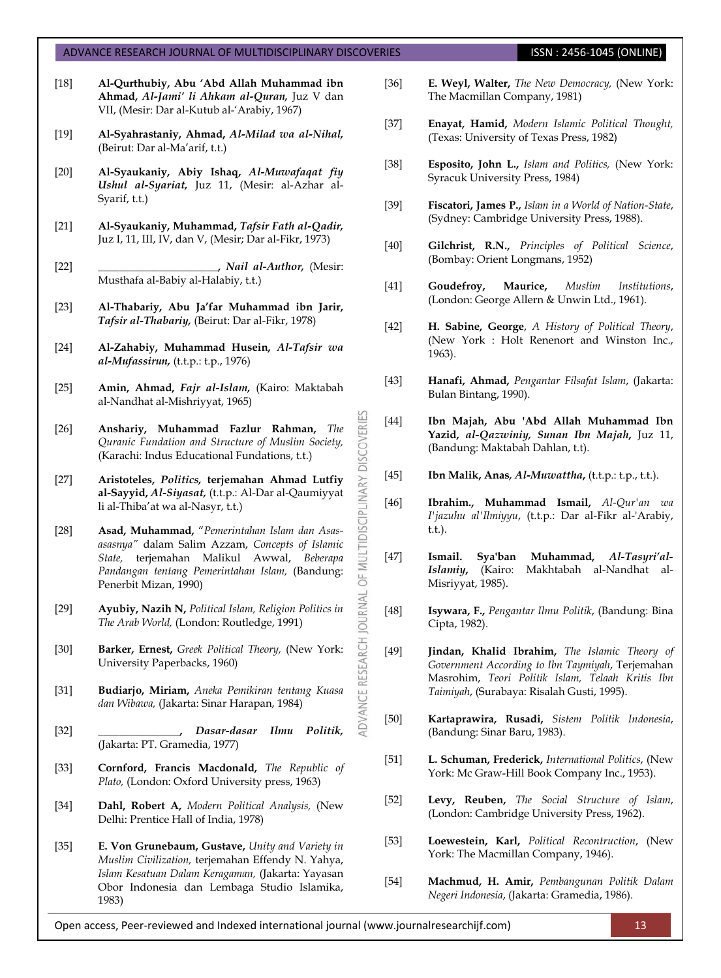- [18] **Al-Qurthubiy, Abu 'Abd Allah Muhammad ibn Ahmad,** *Al-Jami' li Ahkam al-Quran,* Juz V dan VII, (Mesir: Dar al-Kutub al-'Arabiy, 1967)
- [19] **Al-Syahrastaniy, Ahmad,** *Al-Milad wa al-Nihal,* (Beirut: Dar al-Ma'arif, t.t.)
- [20] **Al-Syaukaniy, Abiy Ishaq,** *Al-Muwafaqat fiy Ushul al-Syariat,* Juz 11, (Mesir: al-Azhar al-Syarif, t.t.)
- [21] **Al-Syaukaniy, Muhammad,** *Tafsir Fath al-Qadir,* Juz I, 11, III, IV, dan V, (Mesir; Dar al-Fikr, 1973)
- [22] **\_\_\_\_\_\_\_\_\_\_\_\_\_\_\_\_\_\_\_\_\_\_,** *Nail al-Author,* (Mesir: Musthafa al-Babiy al-Halabiy, t.t.)
- [23] **Al-Thabariy, Abu Ja'far Muhammad ibn Jarir,**  *Tafsir al-Thabariy,* (Beirut: Dar al-Fikr, 1978)
- [24] **Al-Zahabiy, Muhammad Husein,** *Al-Tafsir wa al-Mufassirun,* (t.t.p.: t.p., 1976)
- [25] **Amin, Ahmad,** *Fajr al-Islam,* (Kairo: Maktabah al-Nandhat al-Mishriyyat, 1965)
- [26] **Anshariy, Muhammad Fazlur Rahman,** *The Quranic Fundation and Structure of Muslim Society,*  (Karachi: Indus Educational Fundations, t.t.)
- [27] **Aristoteles,** *Politics,* **terjemahan Ahmad Lutfiy al-Sayyid,** *Al-Siyasat,* (t.t.p.: Al-Dar al-Qaumiyyat li al-Thiba'at wa al-Nasyr, t.t.)

MULTIDISCIPLINARY DISCOVERI

OF<sub>I</sub>

**JOURNAL** 

**ADVANCE RESEARCH** 

- [28] **Asad, Muhammad,** "*Pemerintahan Islam dan Asasasasnya"* dalam Salim Azzam, *Concepts of Islamic State,* terjemahan Malikul Awwal, *Beberapa Pandangan tentang Pemerintahan Islam,* (Bandung: Penerbit Mizan, 1990)
- [29] **Ayubiy, Nazih N,** *Political Islam, Religion Politics in The Arab World,* (London: Routledge, 1991)
- [30] **Barker, Ernest,** *Greek Political Theory,* (New York: University Paperbacks, 1960)
- [31] **Budiarjo, Miriam,** *Aneka Pemikiran tentang Kuasa dan Wibawa,* (Jakarta: Sinar Harapan, 1984)
- [32] **\_\_\_\_\_\_\_\_\_\_\_\_\_\_\_,** *Dasar-dasar Ilmu Politik,* (Jakarta: PT. Gramedia, 1977)
- [33] **Cornford, Francis Macdonald,** *The Republic of Plato,* (London: Oxford University press, 1963)
- [34] **Dahl, Robert A,** *Modern Political Analysis,* (New Delhi: Prentice Hall of India, 1978)
- [35] **E. Von Grunebaum, Gustave,** *Unity and Variety in Muslim Civilization,* terjemahan Effendy N. Yahya, *Islam Kesatuan Dalam Keragaman,* (Jakarta: Yayasan Obor Indonesia dan Lembaga Studio Islamika, 1983)
- [36] **E. Weyl, Walter,** *The New Democracy,* (New York: The Macmillan Company, 1981)
- [37] **Enayat, Hamid,** *Modern Islamic Political Thought,*  (Texas: University of Texas Press, 1982)
- [38] **Esposito, John L.,** *Islam and Politics,* (New York: Syracuk University Press, 1984)
- [39] **Fiscatori, James P.,** *Islam in a World of Nation-State*, (Sydney: Cambridge University Press, 1988).
- [40] **Gilchrist, R.N.,** *Principles of Political Science*, (Bombay: Orient Longmans, 1952)
- [41] **Goudefroy, Maurice,** *Muslim Institutions*, (London: George Allern & Unwin Ltd., 1961).
- [42] **H. Sabine, George**, *A History of Political Theory*, (New York : Holt Renenort and Winston Inc., 1963).
- [43] **Hanafi, Ahmad,** *Pengantar Filsafat Islam*, (Jakarta: Bulan Bintang, 1990).
- [44] **Ibn Majah, Abu 'Abd Allah Muhammad Ibn Yazid,** *al-Qazwiniy, Sunan Ibn Majah***,** Juz 11, (Bandung: Maktabah Dahlan, t.t).
- [45] **Ibn Malik, Anas***, Al-Muwattha***,** (t.t.p.: t.p., t.t.).
- [46] **Ibrahim., Muhammad Ismail,** *Al-Qur'an wa I'jazuhu al'Ilmiyyu*, (t.t.p.: Dar al-Fikr al-'Arabiy, t.t.).
- [47] **Ismail. Sya'ban Muhammad,** *Al-Tasyri'al-Islamiy***,** (Kairo: Makhtabah al-Nandhat al-Misriyyat, 1985).
- [48] **Isywara, F.,** *Pengantar Ilmu Politik*, (Bandung: Bina Cipta, 1982).
- [49] **Jindan, Khalid Ibrahim,** *The Islamic Theory of Government According to Ibn Taymiyah*, Terjemahan Masrohim, *Teori Politik Islam, Telaah Kritis Ibn Taimiyah*, (Surabaya: Risalah Gusti, 1995).
- [50] **Kartaprawira, Rusadi,** *Sistem Politik Indonesia*, (Bandung: Sinar Baru, 1983).
- [51] **L. Schuman, Frederick,** *International Politics*, (New York: Mc Graw-Hill Book Company Inc., 1953).
- [52] **Levy, Reuben,** *The Social Structure of Islam*, (London: Cambridge University Press, 1962).
- [53] **Loewestein, Karl,** *Political Recontruction*, (New York: The Macmillan Company, 1946).
- [54] **Machmud, H. Amir,** *Pembangunan Politik Dalam Negeri Indonesia*, (Jakarta: Gramedia, 1986).